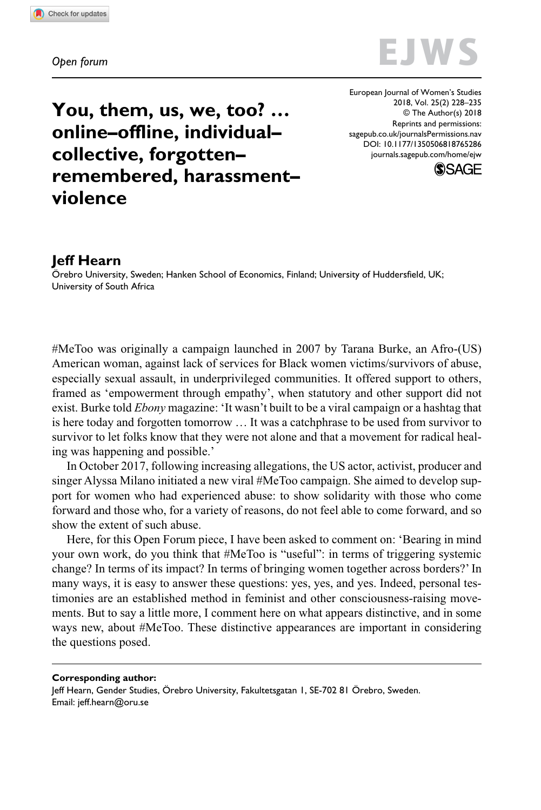**7652[86](http://crossmark.crossref.org/dialog/?doi=10.1177%2F1350506818765286&domain=pdf&date_stamp=2018-04-29)**EJW0010.1177/1350506818765286European Journal of Women's Studies**Hearn**

EJ W

*Open forum*

**You, them, us, we, too? … online–offline, individual– collective, forgotten– remembered, harassment– violence**

https://doi.org/10.1177/1350506818765286 DOI: 10.1177/1350506818765286 European Journal of Women's Studies 2018, Vol. 25(2) 228–235 © The Author(s) 2018 Reprints and permissions: [sagepub.co.uk/journalsPermissions.nav](https://uk.sagepub.com/en-gb/journals-permissions) [journals.sagepub.com/home/ejw](https://journals.sagepub.com/home/ejw)



# **Jeff Hearn**

Örebro University, Sweden; Hanken School of Economics, Finland; University of Huddersfield, UK; University of South Africa

#MeToo was originally a campaign launched in 2007 by Tarana Burke, an Afro-(US) American woman, against lack of services for Black women victims/survivors of abuse, especially sexual assault, in underprivileged communities. It offered support to others, framed as 'empowerment through empathy', when statutory and other support did not exist. Burke told *Ebony* magazine: 'It wasn't built to be a viral campaign or a hashtag that is here today and forgotten tomorrow … It was a catchphrase to be used from survivor to survivor to let folks know that they were not alone and that a movement for radical healing was happening and possible.'

In October 2017, following increasing allegations, the US actor, activist, producer and singer Alyssa Milano initiated a new viral #MeToo campaign. She aimed to develop support for women who had experienced abuse: to show solidarity with those who come forward and those who, for a variety of reasons, do not feel able to come forward, and so show the extent of such abuse.

Here, for this Open Forum piece, I have been asked to comment on: 'Bearing in mind your own work, do you think that #MeToo is "useful": in terms of triggering systemic change? In terms of its impact? In terms of bringing women together across borders?' In many ways, it is easy to answer these questions: yes, yes, and yes. Indeed, personal testimonies are an established method in feminist and other consciousness-raising movements. But to say a little more, I comment here on what appears distinctive, and in some ways new, about #MeToo. These distinctive appearances are important in considering the questions posed.

**Corresponding author:** Jeff Hearn, Gender Studies, Örebro University, Fakultetsgatan 1, SE-702 81 Örebro, Sweden. Email: [jeff.hearn@oru.se](mailto:jeff.hearn@oru.se)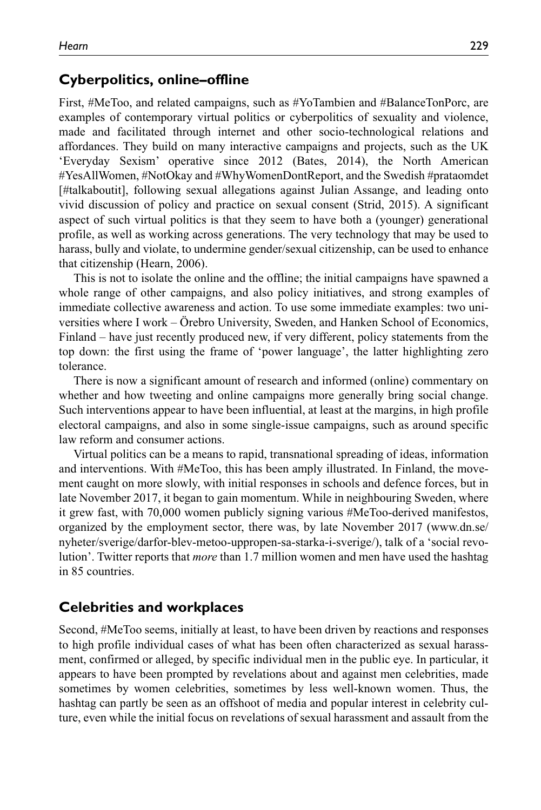# **Cyberpolitics, online–offline**

First, #MeToo, and related campaigns, such as #YoTambien and #BalanceTonPorc, are examples of contemporary virtual politics or cyberpolitics of sexuality and violence, made and facilitated through internet and other socio-technological relations and affordances. They build on many interactive campaigns and projects, such as the UK 'Everyday Sexism' operative since 2012 (Bates, 2014), the North American #YesAllWomen, #NotOkay and #WhyWomenDontReport, and the Swedish #prataomdet [#talkaboutit], following sexual allegations against Julian Assange, and leading onto vivid discussion of policy and practice on sexual consent (Strid, 2015). A significant aspect of such virtual politics is that they seem to have both a (younger) generational profile, as well as working across generations. The very technology that may be used to harass, bully and violate, to undermine gender/sexual citizenship, can be used to enhance that citizenship (Hearn, 2006).

This is not to isolate the online and the offline; the initial campaigns have spawned a whole range of other campaigns, and also policy initiatives, and strong examples of immediate collective awareness and action. To use some immediate examples: two universities where I work – Örebro University, Sweden, and Hanken School of Economics, Finland – have just recently produced new, if very different, policy statements from the top down: the first using the frame of 'power language', the latter highlighting zero tolerance.

There is now a significant amount of research and informed (online) commentary on whether and how tweeting and online campaigns more generally bring social change. Such interventions appear to have been influential, at least at the margins, in high profile electoral campaigns, and also in some single-issue campaigns, such as around specific law reform and consumer actions.

Virtual politics can be a means to rapid, transnational spreading of ideas, information and interventions. With #MeToo, this has been amply illustrated. In Finland, the movement caught on more slowly, with initial responses in schools and defence forces, but in late November 2017, it began to gain momentum. While in neighbouring Sweden, where it grew fast, with 70,000 women publicly signing various #MeToo-derived manifestos, organized by the employment sector, there was, by late November 2017 ([www.dn.se/](www.dn.se/nyheter/sverige/darfor-blev-metoo-uppropen-sa-starka-i-sverige/) [nyheter/sverige/darfor-blev-metoo-uppropen-sa-starka-i-sverige/\)](www.dn.se/nyheter/sverige/darfor-blev-metoo-uppropen-sa-starka-i-sverige/), talk of a 'social revolution'. Twitter reports that *more* than 1.7 million women and men have used the hashtag in 85 countries.

### **Celebrities and workplaces**

Second, #MeToo seems, initially at least, to have been driven by reactions and responses to high profile individual cases of what has been often characterized as sexual harassment, confirmed or alleged, by specific individual men in the public eye. In particular, it appears to have been prompted by revelations about and against men celebrities, made sometimes by women celebrities, sometimes by less well-known women. Thus, the hashtag can partly be seen as an offshoot of media and popular interest in celebrity culture, even while the initial focus on revelations of sexual harassment and assault from the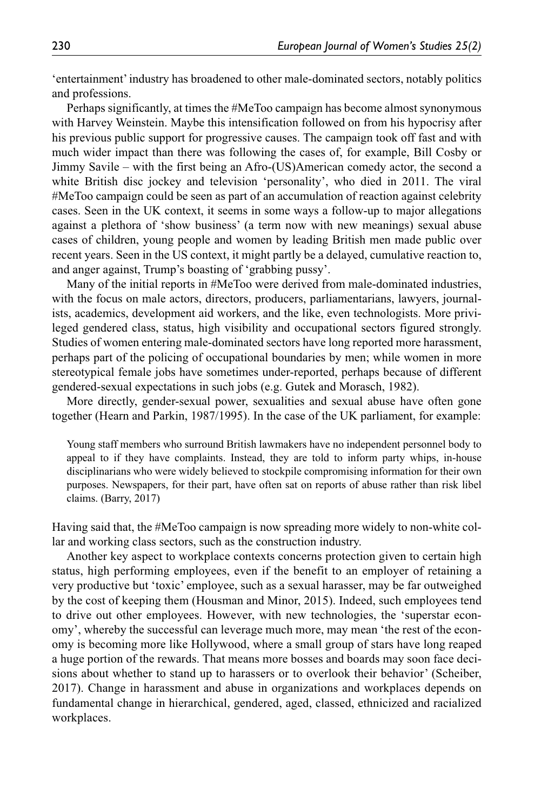'entertainment' industry has broadened to other male-dominated sectors, notably politics and professions.

Perhaps significantly, at times the #MeToo campaign has become almost synonymous with Harvey Weinstein. Maybe this intensification followed on from his hypocrisy after his previous public support for progressive causes. The campaign took off fast and with much wider impact than there was following the cases of, for example, Bill Cosby or Jimmy Savile – with the first being an Afro-(US)American comedy actor, the second a white British disc jockey and television 'personality', who died in 2011. The viral #MeToo campaign could be seen as part of an accumulation of reaction against celebrity cases. Seen in the UK context, it seems in some ways a follow-up to major allegations against a plethora of 'show business' (a term now with new meanings) sexual abuse cases of children, young people and women by leading British men made public over recent years. Seen in the US context, it might partly be a delayed, cumulative reaction to, and anger against, Trump's boasting of 'grabbing pussy'.

Many of the initial reports in #MeToo were derived from male-dominated industries, with the focus on male actors, directors, producers, parliamentarians, lawyers, journalists, academics, development aid workers, and the like, even technologists. More privileged gendered class, status, high visibility and occupational sectors figured strongly. Studies of women entering male-dominated sectors have long reported more harassment, perhaps part of the policing of occupational boundaries by men; while women in more stereotypical female jobs have sometimes under-reported, perhaps because of different gendered-sexual expectations in such jobs (e.g. Gutek and Morasch, 1982).

More directly, gender-sexual power, sexualities and sexual abuse have often gone together (Hearn and Parkin, 1987/1995). In the case of the UK parliament, for example:

Young staff members who surround British lawmakers have no independent personnel body to appeal to if they have complaints. Instead, they are told to inform party whips, in-house disciplinarians who were widely believed to stockpile compromising information for their own purposes. Newspapers, for their part, have often sat on reports of abuse rather than risk libel claims. (Barry, 2017)

Having said that, the #MeToo campaign is now spreading more widely to non-white collar and working class sectors, such as the construction industry.

Another key aspect to workplace contexts concerns protection given to certain high status, high performing employees, even if the benefit to an employer of retaining a very productive but 'toxic' employee, such as a sexual harasser, may be far outweighed by the cost of keeping them (Housman and Minor, 2015). Indeed, such employees tend to drive out other employees. However, with new technologies, the 'superstar economy', whereby the successful can leverage much more, may mean 'the rest of the economy is becoming more like Hollywood, where a small group of stars have long reaped a huge portion of the rewards. That means more bosses and boards may soon face decisions about whether to stand up to harassers or to overlook their behavior' (Scheiber, 2017). Change in harassment and abuse in organizations and workplaces depends on fundamental change in hierarchical, gendered, aged, classed, ethnicized and racialized workplaces.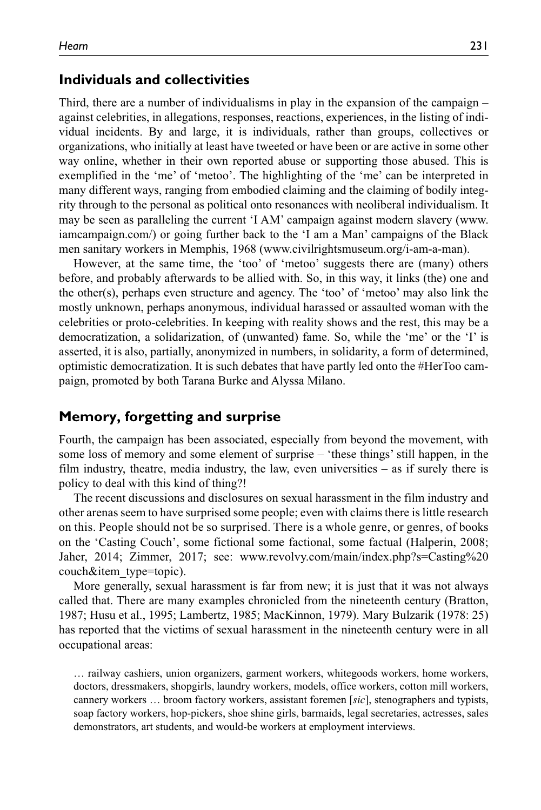## **Individuals and collectivities**

Third, there are a number of individualisms in play in the expansion of the campaign – against celebrities, in allegations, responses, reactions, experiences, in the listing of individual incidents. By and large, it is individuals, rather than groups, collectives or organizations, who initially at least have tweeted or have been or are active in some other way online, whether in their own reported abuse or supporting those abused. This is exemplified in the 'me' of 'metoo'. The highlighting of the 'me' can be interpreted in many different ways, ranging from embodied claiming and the claiming of bodily integrity through to the personal as political onto resonances with neoliberal individualism. It may be seen as paralleling the current 'I AM' campaign against modern slavery [\(www.](www.iamcampaign.com/) [iamcampaign.com/\)](www.iamcampaign.com/) or going further back to the 'I am a Man' campaigns of the Black men sanitary workers in Memphis, 1968 ([www.civilrightsmuseum.org/i-am-a-man\)](www.civilrightsmuseum.org/i-am-a-man).

However, at the same time, the 'too' of 'metoo' suggests there are (many) others before, and probably afterwards to be allied with. So, in this way, it links (the) one and the other(s), perhaps even structure and agency. The 'too' of 'metoo' may also link the mostly unknown, perhaps anonymous, individual harassed or assaulted woman with the celebrities or proto-celebrities. In keeping with reality shows and the rest, this may be a democratization, a solidarization, of (unwanted) fame. So, while the 'me' or the 'I' is asserted, it is also, partially, anonymized in numbers, in solidarity, a form of determined, optimistic democratization. It is such debates that have partly led onto the #HerToo campaign, promoted by both Tarana Burke and Alyssa Milano.

# **Memory, forgetting and surprise**

Fourth, the campaign has been associated, especially from beyond the movement, with some loss of memory and some element of surprise – 'these things' still happen, in the film industry, theatre, media industry, the law, even universities – as if surely there is policy to deal with this kind of thing?!

The recent discussions and disclosures on sexual harassment in the film industry and other arenas seem to have surprised some people; even with claims there is little research on this. People should not be so surprised. There is a whole genre, or genres, of books on the 'Casting Couch', some fictional some factional, some factual (Halperin, 2008; Jaher, 2014; Zimmer, 2017; see: [www.revolvy.com/main/index.php?s=Casting%20](www.revolvy.com/main/index.php?s=Casting%20couch&item_type=topic) [couch&item\\_type=topic\)](www.revolvy.com/main/index.php?s=Casting%20couch&item_type=topic).

More generally, sexual harassment is far from new; it is just that it was not always called that. There are many examples chronicled from the nineteenth century (Bratton, 1987; Husu et al., 1995; Lambertz, 1985; MacKinnon, 1979). Mary Bulzarik (1978: 25) has reported that the victims of sexual harassment in the nineteenth century were in all occupational areas:

… railway cashiers, union organizers, garment workers, whitegoods workers, home workers, doctors, dressmakers, shopgirls, laundry workers, models, office workers, cotton mill workers, cannery workers … broom factory workers, assistant foremen [*sic*], stenographers and typists, soap factory workers, hop-pickers, shoe shine girls, barmaids, legal secretaries, actresses, sales demonstrators, art students, and would-be workers at employment interviews.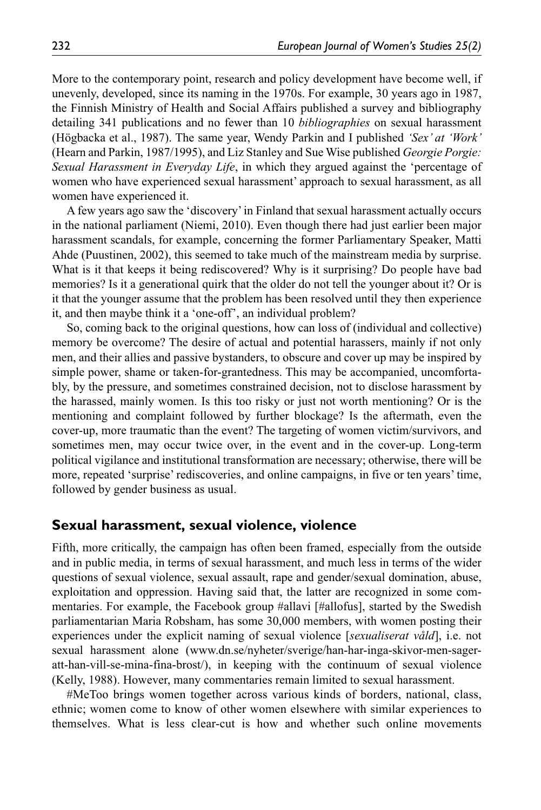More to the contemporary point, research and policy development have become well, if unevenly, developed, since its naming in the 1970s. For example, 30 years ago in 1987, the Finnish Ministry of Health and Social Affairs published a survey and bibliography detailing 341 publications and no fewer than 10 *bibliographies* on sexual harassment (Högbacka et al., 1987). The same year, Wendy Parkin and I published *'Sex' at 'Work'* (Hearn and Parkin, 1987/1995), and Liz Stanley and Sue Wise published *Georgie Porgie: Sexual Harassment in Everyday Life*, in which they argued against the 'percentage of women who have experienced sexual harassment' approach to sexual harassment, as all women have experienced it.

A few years ago saw the 'discovery' in Finland that sexual harassment actually occurs in the national parliament (Niemi, 2010). Even though there had just earlier been major harassment scandals, for example, concerning the former Parliamentary Speaker, Matti Ahde (Puustinen, 2002), this seemed to take much of the mainstream media by surprise. What is it that keeps it being rediscovered? Why is it surprising? Do people have bad memories? Is it a generational quirk that the older do not tell the younger about it? Or is it that the younger assume that the problem has been resolved until they then experience it, and then maybe think it a 'one-off', an individual problem?

So, coming back to the original questions, how can loss of (individual and collective) memory be overcome? The desire of actual and potential harassers, mainly if not only men, and their allies and passive bystanders, to obscure and cover up may be inspired by simple power, shame or taken-for-grantedness. This may be accompanied, uncomfortably, by the pressure, and sometimes constrained decision, not to disclose harassment by the harassed, mainly women. Is this too risky or just not worth mentioning? Or is the mentioning and complaint followed by further blockage? Is the aftermath, even the cover-up, more traumatic than the event? The targeting of women victim/survivors, and sometimes men, may occur twice over, in the event and in the cover-up. Long-term political vigilance and institutional transformation are necessary; otherwise, there will be more, repeated 'surprise' rediscoveries, and online campaigns, in five or ten years' time, followed by gender business as usual.

### **Sexual harassment, sexual violence, violence**

Fifth, more critically, the campaign has often been framed, especially from the outside and in public media, in terms of sexual harassment, and much less in terms of the wider questions of sexual violence, sexual assault, rape and gender/sexual domination, abuse, exploitation and oppression. Having said that, the latter are recognized in some commentaries. For example, the Facebook group #allavi [#allofus], started by the Swedish parliamentarian Maria Robsham, has some 30,000 members, with women posting their experiences under the explicit naming of sexual violence [*sexualiserat våld*], i.e. not sexual harassment alone [\(www.dn.se/nyheter/sverige/han-har-inga-skivor-men-sager](www.dn.se/nyheter/sverige/han-har-inga-skivor-men-sager-att-han-vill-se-mina-fina-brost/)[att-han-vill-se-mina-fina-brost/\)](www.dn.se/nyheter/sverige/han-har-inga-skivor-men-sager-att-han-vill-se-mina-fina-brost/), in keeping with the continuum of sexual violence (Kelly, 1988). However, many commentaries remain limited to sexual harassment.

#MeToo brings women together across various kinds of borders, national, class, ethnic; women come to know of other women elsewhere with similar experiences to themselves. What is less clear-cut is how and whether such online movements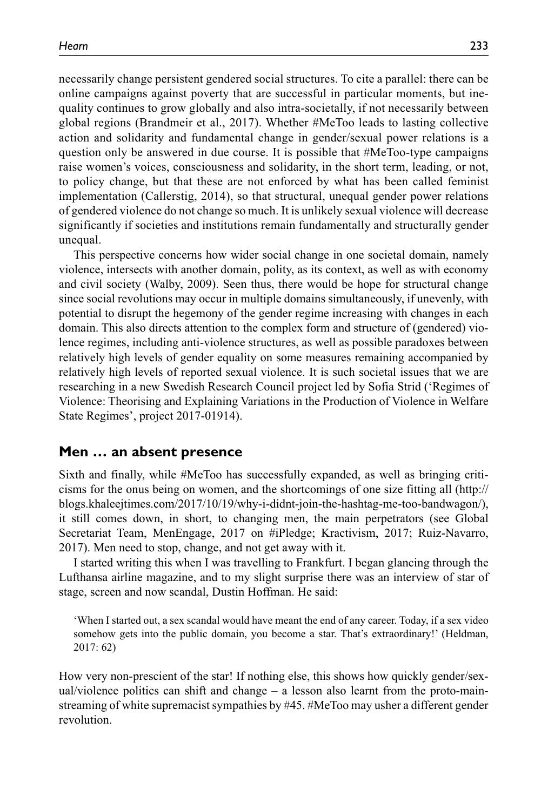necessarily change persistent gendered social structures. To cite a parallel: there can be online campaigns against poverty that are successful in particular moments, but inequality continues to grow globally and also intra-societally, if not necessarily between global regions (Brandmeir et al., 2017). Whether #MeToo leads to lasting collective action and solidarity and fundamental change in gender/sexual power relations is a question only be answered in due course. It is possible that #MeToo-type campaigns raise women's voices, consciousness and solidarity, in the short term, leading, or not, to policy change, but that these are not enforced by what has been called feminist implementation (Callerstig, 2014), so that structural, unequal gender power relations of gendered violence do not change so much. It is unlikely sexual violence will decrease significantly if societies and institutions remain fundamentally and structurally gender unequal.

This perspective concerns how wider social change in one societal domain, namely violence, intersects with another domain, polity, as its context, as well as with economy and civil society (Walby, 2009). Seen thus, there would be hope for structural change since social revolutions may occur in multiple domains simultaneously, if unevenly, with potential to disrupt the hegemony of the gender regime increasing with changes in each domain. This also directs attention to the complex form and structure of (gendered) violence regimes, including anti-violence structures, as well as possible paradoxes between relatively high levels of gender equality on some measures remaining accompanied by relatively high levels of reported sexual violence. It is such societal issues that we are researching in a new Swedish Research Council project led by Sofia Strid ('Regimes of Violence: Theorising and Explaining Variations in the Production of Violence in Welfare State Regimes', project 2017-01914).

### **Men … an absent presence**

Sixth and finally, while #MeToo has successfully expanded, as well as bringing criticisms for the onus being on women, and the shortcomings of one size fitting all ([http://](http://blogs.khaleejtimes.com/2017/10/19/why-i-didnt-join-the-hashtag-me-too-bandwagon/) [blogs.khaleejtimes.com/2017/10/19/why-i-didnt-join-the-hashtag-me-too-bandwagon/\)](http://blogs.khaleejtimes.com/2017/10/19/why-i-didnt-join-the-hashtag-me-too-bandwagon/), it still comes down, in short, to changing men, the main perpetrators (see Global Secretariat Team, MenEngage, 2017 on #iPledge; Kractivism, 2017; Ruiz-Navarro, 2017). Men need to stop, change, and not get away with it.

I started writing this when I was travelling to Frankfurt. I began glancing through the Lufthansa airline magazine, and to my slight surprise there was an interview of star of stage, screen and now scandal, Dustin Hoffman. He said:

'When I started out, a sex scandal would have meant the end of any career. Today, if a sex video somehow gets into the public domain, you become a star. That's extraordinary!' (Heldman, 2017: 62)

How very non-prescient of the star! If nothing else, this shows how quickly gender/sexual/violence politics can shift and change  $-$  a lesson also learnt from the proto-mainstreaming of white supremacist sympathies by #45. #MeToo may usher a different gender revolution.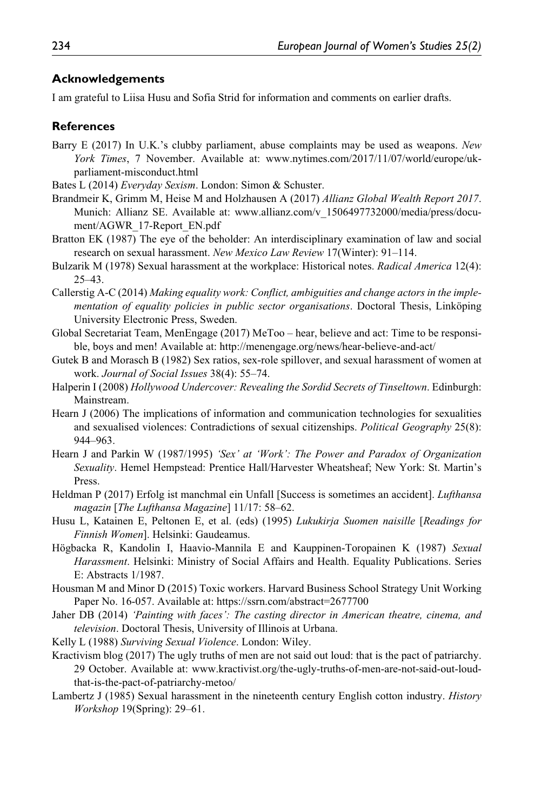#### **Acknowledgements**

I am grateful to Liisa Husu and Sofia Strid for information and comments on earlier drafts.

#### **References**

- Barry E (2017) In U.K.'s clubby parliament, abuse complaints may be used as weapons. *New York Times*, 7 November. Available at: [www.nytimes.com/2017/11/07/world/europe/uk](www.nytimes.com/2017/11/07/world/europe/uk-parliament-misconduct.html)[parliament-misconduct.html](www.nytimes.com/2017/11/07/world/europe/uk-parliament-misconduct.html)
- Bates L (2014) *Everyday Sexism*. London: Simon & Schuster.
- Brandmeir K, Grimm M, Heise M and Holzhausen A (2017) *Allianz Global Wealth Report 2017*. Munich: Allianz SE. Available at: [www.allianz.com/v\\_1506497732000/media/press/docu](www.allianz.com/v_1506497732000/media/press/document/AGWR_17-Report_EN.pdf)[ment/AGWR\\_17-Report\\_EN.pdf](www.allianz.com/v_1506497732000/media/press/document/AGWR_17-Report_EN.pdf)
- Bratton EK (1987) The eye of the beholder: An interdisciplinary examination of law and social research on sexual harassment. *New Mexico Law Review* 17(Winter): 91–114.
- Bulzarik M (1978) Sexual harassment at the workplace: Historical notes. *Radical America* 12(4): 25–43.
- Callerstig A-C (2014) *Making equality work: Conflict, ambiguities and change actors in the implementation of equality policies in public sector organisations*. Doctoral Thesis, Linköping University Electronic Press, Sweden.
- Global Secretariat Team, MenEngage (2017) MeToo hear, believe and act: Time to be responsible, boys and men! Available at: <http://menengage.org/news/hear-believe-and-act/>
- Gutek B and Morasch B (1982) Sex ratios, sex-role spillover, and sexual harassment of women at work. *Journal of Social Issues* 38(4): 55–74.
- Halperin I (2008) *Hollywood Undercover: Revealing the Sordid Secrets of Tinseltown*. Edinburgh: Mainstream.
- Hearn J (2006) The implications of information and communication technologies for sexualities and sexualised violences: Contradictions of sexual citizenships. *Political Geography* 25(8): 944–963.
- Hearn J and Parkin W (1987/1995) *'Sex' at 'Work': The Power and Paradox of Organization Sexuality*. Hemel Hempstead: Prentice Hall/Harvester Wheatsheaf; New York: St. Martin's Press.
- Heldman P (2017) Erfolg ist manchmal ein Unfall [Success is sometimes an accident]. *Lufthansa magazin* [*The Lufthansa Magazine*] 11/17: 58–62.
- Husu L, Katainen E, Peltonen E, et al. (eds) (1995) *Lukukirja Suomen naisille* [*Readings for Finnish Women*]. Helsinki: Gaudeamus.
- Högbacka R, Kandolin I, Haavio-Mannila E and Kauppinen-Toropainen K (1987) *Sexual Harassment*. Helsinki: Ministry of Social Affairs and Health. Equality Publications. Series E: Abstracts 1/1987.
- Housman M and Minor D (2015) Toxic workers. Harvard Business School Strategy Unit Working Paper No. 16-057. Available at:<https://ssrn.com/abstract=2677700>
- Jaher DB (2014) *'Painting with faces': The casting director in American theatre, cinema, and television*. Doctoral Thesis, University of Illinois at Urbana.
- Kelly L (1988) *Surviving Sexual Violence*. London: Wiley.
- Kractivism blog (2017) The ugly truths of men are not said out loud: that is the pact of patriarchy. 29 October. Available at: [www.kractivist.org/the-ugly-truths-of-men-are-not-said-out-loud](www.kractivist.org/the-ugly-truths-of-men-are-not-said-out-loud-that-is-the-pact-of-patriarchy-metoo/)[that-is-the-pact-of-patriarchy-metoo/](www.kractivist.org/the-ugly-truths-of-men-are-not-said-out-loud-that-is-the-pact-of-patriarchy-metoo/)
- Lambertz J (1985) Sexual harassment in the nineteenth century English cotton industry. *History Workshop* 19(Spring): 29–61.